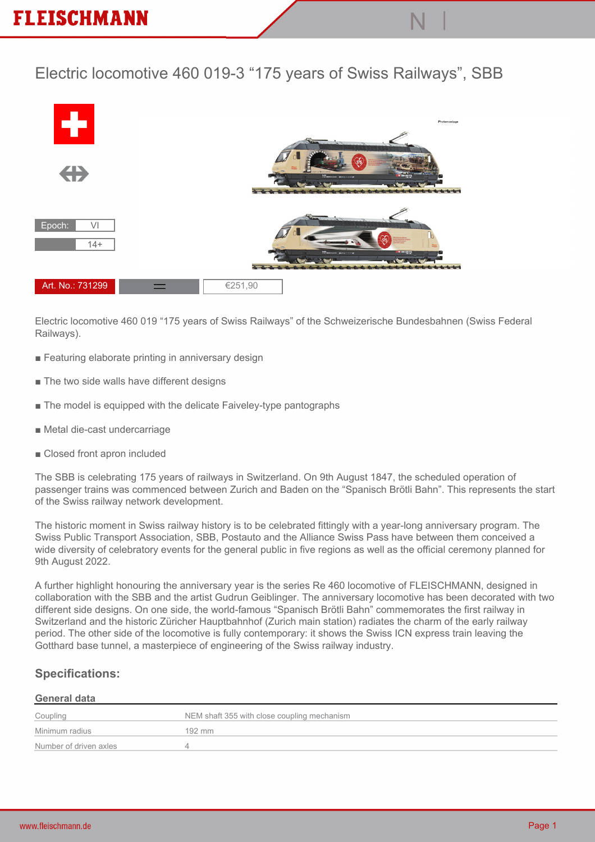## **Electric locomotive 460 019-3 "175 years of Swiss Railways", SBB**



**Electric locomotive 460 019 "175 years of Swiss Railways" of the Schweizerische Bundesbahnen (Swiss Federal Railways).**

- **Featuring elaborate printing in anniversary design**
- **The two side walls have different designs**
- **The model is equipped with the delicate Faiveley-type pantographs**
- **Metal die-cast undercarriage**
- **Closed front apron included**

**The SBB is celebrating 175 years of railways in Switzerland. On 9th August 1847, the scheduled operation of passenger trains was commenced between Zurich and Baden on the "Spanisch Brötli Bahn". This represents the start of the Swiss railway network development.**

**The historic moment in Swiss railway history is to be celebrated fittingly with a year-long anniversary program. The Swiss Public Transport Association, SBB, Postauto and the Alliance Swiss Pass have between them conceived a wide diversity of celebratory events for the general public in five regions as well as the official ceremony planned for 9th August 2022.**

**A further highlight honouring the anniversary year is the series Re 460 locomotive of FLEISCHMANN, designed in collaboration with the SBB and the artist Gudrun Geiblinger. The anniversary locomotive has been decorated with two different side designs. On one side, the world-famous "Spanisch Brötli Bahn" commemorates the first railway in Switzerland and the historic Züricher Hauptbahnhof (Zurich main station) radiates the charm of the early railway period. The other side of the locomotive is fully contemporary: it shows the Swiss ICN express train leaving the Gotthard base tunnel, a masterpiece of engineering of the Swiss railway industry.**

### **Specifications:**

#### **General data**

| Coupling               | NEM shaft 355 with close coupling mechanism |
|------------------------|---------------------------------------------|
| Minimum radius         | 192 mm                                      |
| Number of driven axles |                                             |